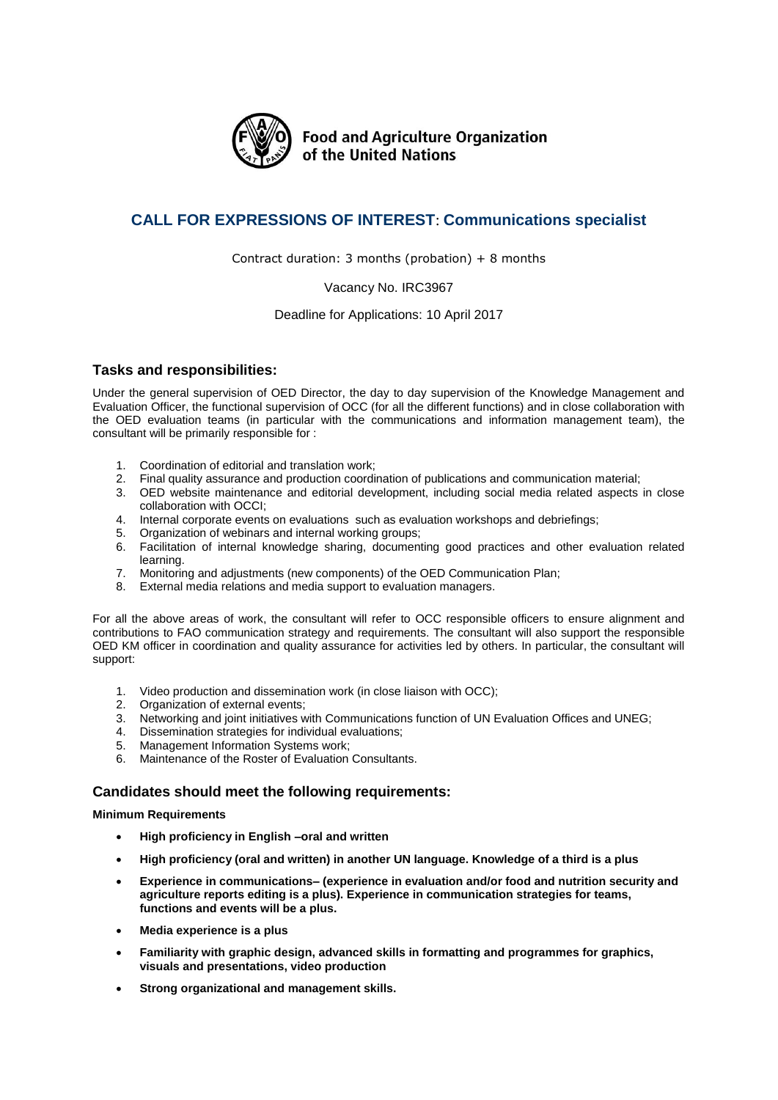

**Food and Agriculture Organization** of the United Nations

# **CALL FOR EXPRESSIONS OF INTEREST**: **Communications specialist**

Contract duration: 3 months (probation)  $+ 8$  months

### Vacancy No. IRC3967

### Deadline for Applications: 10 April 2017

# **Tasks and responsibilities:**

Under the general supervision of OED Director, the day to day supervision of the Knowledge Management and Evaluation Officer, the functional supervision of OCC (for all the different functions) and in close collaboration with the OED evaluation teams (in particular with the communications and information management team), the consultant will be primarily responsible for :

- 1. Coordination of editorial and translation work;
- 2. Final quality assurance and production coordination of publications and communication material;
- 3. OED website maintenance and editorial development, including social media related aspects in close collaboration with OCCI;
- 4. Internal corporate events on evaluations such as evaluation workshops and debriefings;
- 5. Organization of webinars and internal working groups;
- 6. Facilitation of internal knowledge sharing, documenting good practices and other evaluation related learning.
- 7. Monitoring and adjustments (new components) of the OED Communication Plan;
- 8. External media relations and media support to evaluation managers.

For all the above areas of work, the consultant will refer to OCC responsible officers to ensure alignment and contributions to FAO communication strategy and requirements. The consultant will also support the responsible OED KM officer in coordination and quality assurance for activities led by others. In particular, the consultant will support:

- 1. Video production and dissemination work (in close liaison with OCC);
- 2. Organization of external events;
- 3. Networking and joint initiatives with Communications function of UN Evaluation Offices and UNEG;
- 4. Dissemination strategies for individual evaluations;
- 5. Management Information Systems work;
- 6. Maintenance of the Roster of Evaluation Consultants.

# **Candidates should meet the following requirements:**

#### **Minimum Requirements**

- **High proficiency in English –oral and written**
- **High proficiency (oral and written) in another UN language. Knowledge of a third is a plus**
- **Experience in communications– (experience in evaluation and/or food and nutrition security and agriculture reports editing is a plus). Experience in communication strategies for teams, functions and events will be a plus.**
- **Media experience is a plus**
- **Familiarity with graphic design, advanced skills in formatting and programmes for graphics, visuals and presentations, video production**
- **Strong organizational and management skills.**